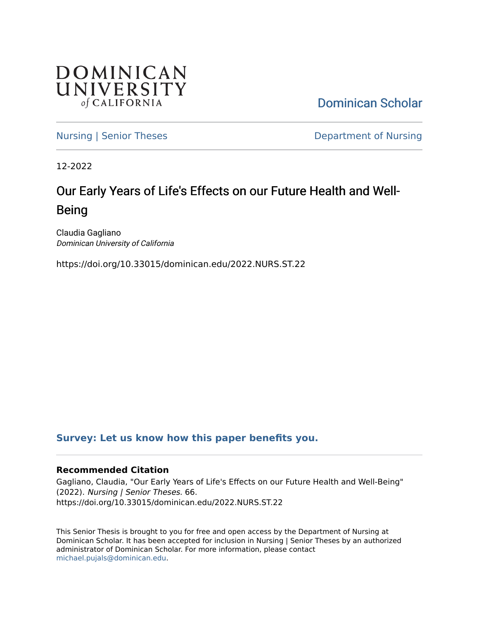

[Dominican Scholar](https://scholar.dominican.edu/) 

[Nursing | Senior Theses](https://scholar.dominican.edu/nursing-senior-theses) **Department of Nursing** 

12-2022

# Our Early Years of Life's Effects on our Future Health and Well-Being

Claudia Gagliano Dominican University of California

https://doi.org/10.33015/dominican.edu/2022.NURS.ST.22

### **[Survey: Let us know how this paper benefits you.](https://dominican.libwizard.com/dominican-scholar-feedback)**

### **Recommended Citation**

Gagliano, Claudia, "Our Early Years of Life's Effects on our Future Health and Well-Being" (2022). Nursing | Senior Theses. 66. https://doi.org/10.33015/dominican.edu/2022.NURS.ST.22

This Senior Thesis is brought to you for free and open access by the Department of Nursing at Dominican Scholar. It has been accepted for inclusion in Nursing | Senior Theses by an authorized administrator of Dominican Scholar. For more information, please contact [michael.pujals@dominican.edu.](mailto:michael.pujals@dominican.edu)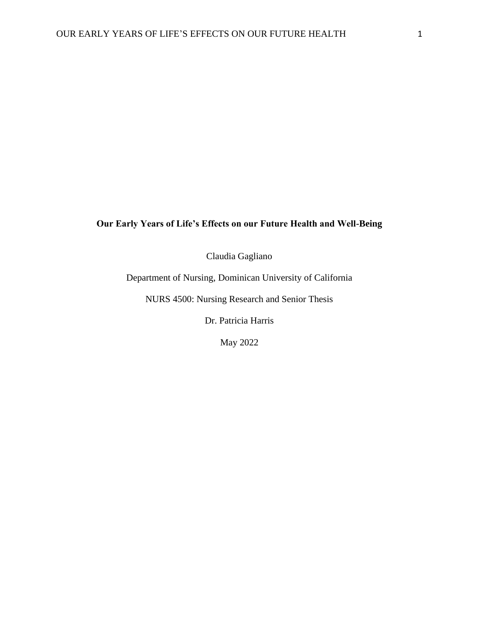### **Our Early Years of Life's Effects on our Future Health and Well-Being**

Claudia Gagliano

Department of Nursing, Dominican University of California

NURS 4500: Nursing Research and Senior Thesis

Dr. Patricia Harris

May 2022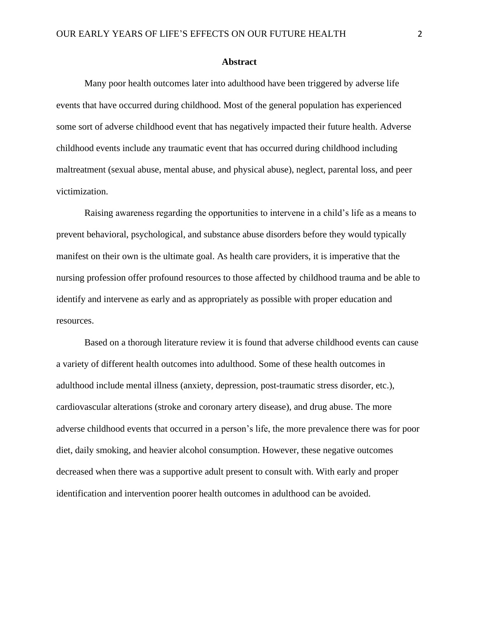#### **Abstract**

Many poor health outcomes later into adulthood have been triggered by adverse life events that have occurred during childhood. Most of the general population has experienced some sort of adverse childhood event that has negatively impacted their future health. Adverse childhood events include any traumatic event that has occurred during childhood including maltreatment (sexual abuse, mental abuse, and physical abuse), neglect, parental loss, and peer victimization.

Raising awareness regarding the opportunities to intervene in a child's life as a means to prevent behavioral, psychological, and substance abuse disorders before they would typically manifest on their own is the ultimate goal. As health care providers, it is imperative that the nursing profession offer profound resources to those affected by childhood trauma and be able to identify and intervene as early and as appropriately as possible with proper education and resources.

Based on a thorough literature review it is found that adverse childhood events can cause a variety of different health outcomes into adulthood. Some of these health outcomes in adulthood include mental illness (anxiety, depression, post-traumatic stress disorder, etc.), cardiovascular alterations (stroke and coronary artery disease), and drug abuse. The more adverse childhood events that occurred in a person's life, the more prevalence there was for poor diet, daily smoking, and heavier alcohol consumption. However, these negative outcomes decreased when there was a supportive adult present to consult with. With early and proper identification and intervention poorer health outcomes in adulthood can be avoided.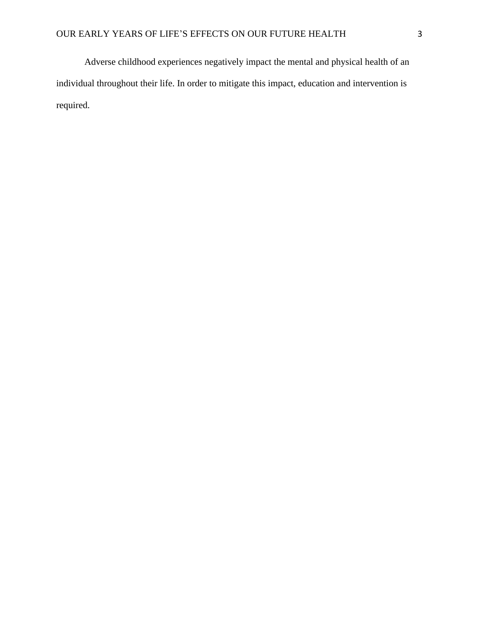Adverse childhood experiences negatively impact the mental and physical health of an individual throughout their life. In order to mitigate this impact, education and intervention is required.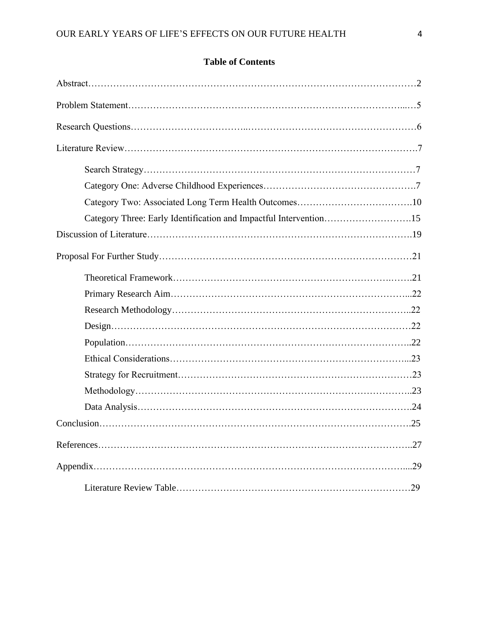## **Table of Contents**

| Category Three: Early Identification and Impactful Intervention15 |     |
|-------------------------------------------------------------------|-----|
|                                                                   |     |
|                                                                   |     |
|                                                                   |     |
|                                                                   |     |
|                                                                   |     |
| $Design. \dots 22$                                                |     |
|                                                                   |     |
|                                                                   |     |
|                                                                   |     |
|                                                                   |     |
|                                                                   |     |
| $Conclusion \dots 25$                                             |     |
|                                                                   | .27 |
|                                                                   | .29 |
|                                                                   |     |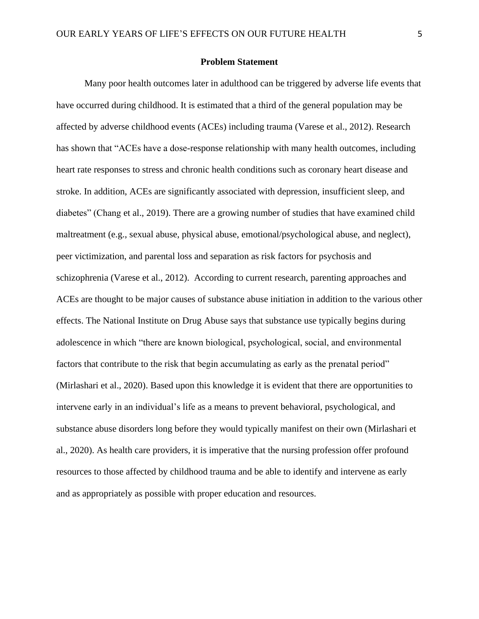#### **Problem Statement**

Many poor health outcomes later in adulthood can be triggered by adverse life events that have occurred during childhood. It is estimated that a third of the general population may be affected by adverse childhood events (ACEs) including trauma (Varese et al., 2012). Research has shown that "ACEs have a dose-response relationship with many health outcomes, including heart rate responses to stress and chronic health conditions such as coronary heart disease and stroke. In addition, ACEs are significantly associated with depression, insufficient sleep, and diabetes" (Chang et al., 2019). There are a growing number of studies that have examined child maltreatment (e.g., sexual abuse, physical abuse, emotional/psychological abuse, and neglect), peer victimization, and parental loss and separation as risk factors for psychosis and schizophrenia (Varese et al., 2012). According to current research, parenting approaches and ACEs are thought to be major causes of substance abuse initiation in addition to the various other effects. The National Institute on Drug Abuse says that substance use typically begins during adolescence in which "there are known biological, psychological, social, and environmental factors that contribute to the risk that begin accumulating as early as the prenatal period" (Mirlashari et al., 2020). Based upon this knowledge it is evident that there are opportunities to intervene early in an individual's life as a means to prevent behavioral, psychological, and substance abuse disorders long before they would typically manifest on their own (Mirlashari et al., 2020). As health care providers, it is imperative that the nursing profession offer profound resources to those affected by childhood trauma and be able to identify and intervene as early and as appropriately as possible with proper education and resources.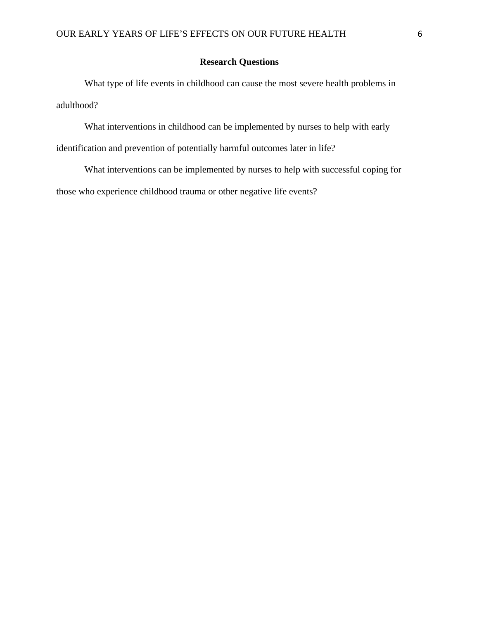### **Research Questions**

What type of life events in childhood can cause the most severe health problems in adulthood?

What interventions in childhood can be implemented by nurses to help with early identification and prevention of potentially harmful outcomes later in life?

What interventions can be implemented by nurses to help with successful coping for those who experience childhood trauma or other negative life events?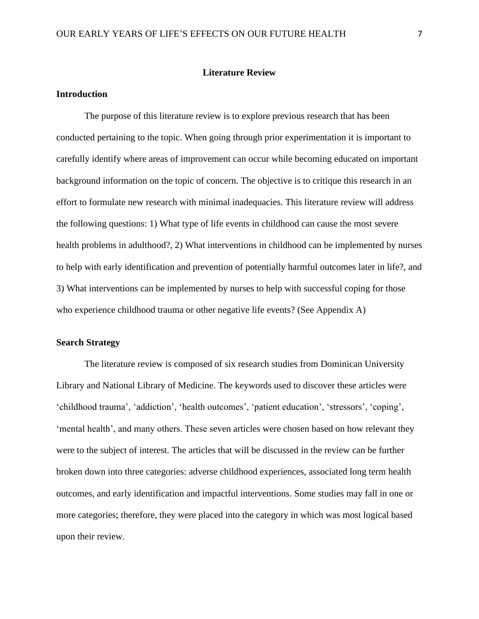#### **Literature Review**

#### **Introduction**

The purpose of this literature review is to explore previous research that has been conducted pertaining to the topic. When going through prior experimentation it is important to carefully identify where areas of improvement can occur while becoming educated on important background information on the topic of concern. The objective is to critique this research in an effort to formulate new research with minimal inadequacies. This literature review will address the following questions: 1) What type of life events in childhood can cause the most severe health problems in adulthood?, 2) What interventions in childhood can be implemented by nurses to help with early identification and prevention of potentially harmful outcomes later in life?, and 3) What interventions can be implemented by nurses to help with successful coping for those who experience childhood trauma or other negative life events? (See Appendix A)

#### **Search Strategy**

The literature review is composed of six research studies from Dominican University Library and National Library of Medicine. The keywords used to discover these articles were 'childhood trauma', 'addiction', 'health outcomes', 'patient education', 'stressors', 'coping', 'mental health', and many others. These seven articles were chosen based on how relevant they were to the subject of interest. The articles that will be discussed in the review can be further broken down into three categories: adverse childhood experiences, associated long term health outcomes, and early identification and impactful interventions. Some studies may fall in one or more categories; therefore, they were placed into the category in which was most logical based upon their review.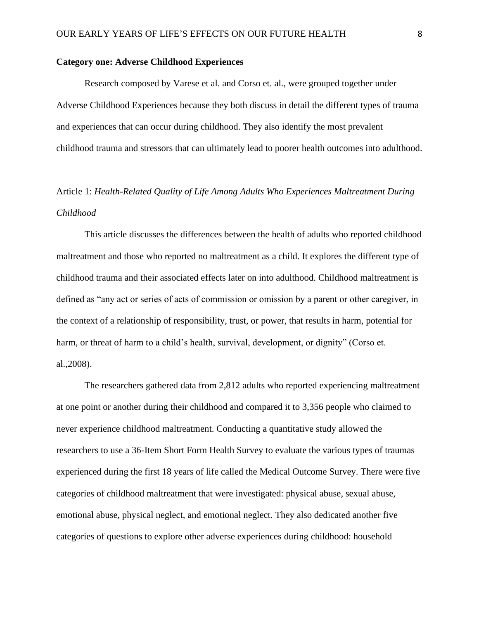#### **Category one: Adverse Childhood Experiences**

Research composed by Varese et al. and Corso et. al., were grouped together under Adverse Childhood Experiences because they both discuss in detail the different types of trauma and experiences that can occur during childhood. They also identify the most prevalent childhood trauma and stressors that can ultimately lead to poorer health outcomes into adulthood.

# Article 1: *Health-Related Quality of Life Among Adults Who Experiences Maltreatment During Childhood*

This article discusses the differences between the health of adults who reported childhood maltreatment and those who reported no maltreatment as a child. It explores the different type of childhood trauma and their associated effects later on into adulthood. Childhood maltreatment is defined as "any act or series of acts of commission or omission by a parent or other caregiver, in the context of a relationship of responsibility, trust, or power, that results in harm, potential for harm, or threat of harm to a child's health, survival, development, or dignity" (Corso et. al.,2008).

The researchers gathered data from 2,812 adults who reported experiencing maltreatment at one point or another during their childhood and compared it to 3,356 people who claimed to never experience childhood maltreatment. Conducting a quantitative study allowed the researchers to use a 36-Item Short Form Health Survey to evaluate the various types of traumas experienced during the first 18 years of life called the Medical Outcome Survey. There were five categories of childhood maltreatment that were investigated: physical abuse, sexual abuse, emotional abuse, physical neglect, and emotional neglect. They also dedicated another five categories of questions to explore other adverse experiences during childhood: household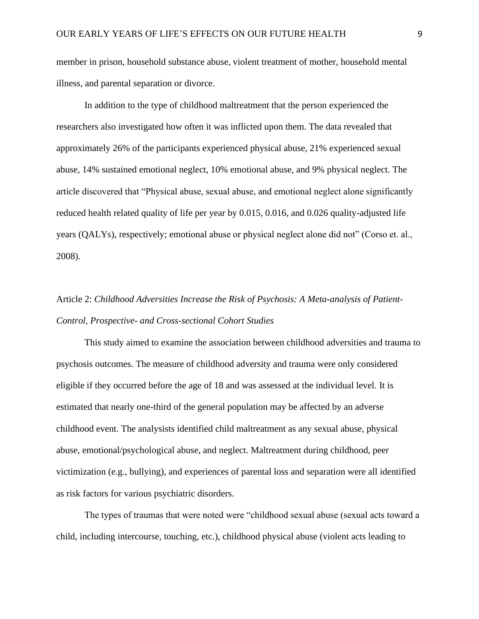member in prison, household substance abuse, violent treatment of mother, household mental illness, and parental separation or divorce.

In addition to the type of childhood maltreatment that the person experienced the researchers also investigated how often it was inflicted upon them. The data revealed that approximately 26% of the participants experienced physical abuse, 21% experienced sexual abuse, 14% sustained emotional neglect, 10% emotional abuse, and 9% physical neglect. The article discovered that "Physical abuse, sexual abuse, and emotional neglect alone significantly reduced health related quality of life per year by 0.015, 0.016, and 0.026 quality-adjusted life years (QALYs), respectively; emotional abuse or physical neglect alone did not" (Corso et. al., 2008).

# Article 2: *Childhood Adversities Increase the Risk of Psychosis: A Meta-analysis of Patient-Control, Prospective- and Cross-sectional Cohort Studies*

This study aimed to examine the association between childhood adversities and trauma to psychosis outcomes. The measure of childhood adversity and trauma were only considered eligible if they occurred before the age of 18 and was assessed at the individual level. It is estimated that nearly one-third of the general population may be affected by an adverse childhood event. The analysists identified child maltreatment as any sexual abuse, physical abuse, emotional/psychological abuse, and neglect. Maltreatment during childhood, peer victimization (e.g., bullying), and experiences of parental loss and separation were all identified as risk factors for various psychiatric disorders.

The types of traumas that were noted were "childhood sexual abuse (sexual acts toward a child, including intercourse, touching, etc.), childhood physical abuse (violent acts leading to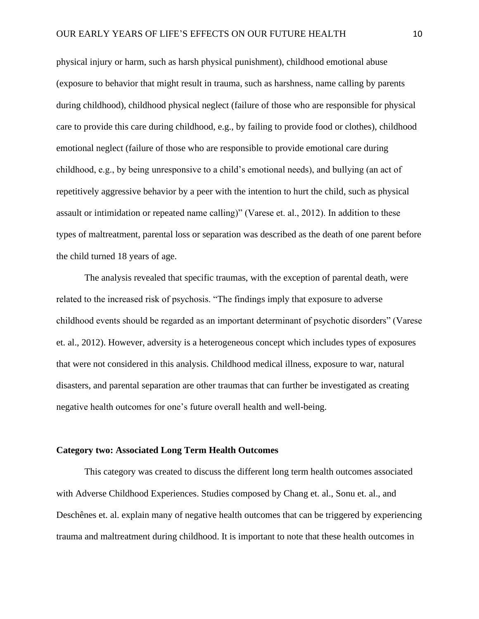physical injury or harm, such as harsh physical punishment), childhood emotional abuse (exposure to behavior that might result in trauma, such as harshness, name calling by parents during childhood), childhood physical neglect (failure of those who are responsible for physical care to provide this care during childhood, e.g., by failing to provide food or clothes), childhood emotional neglect (failure of those who are responsible to provide emotional care during childhood, e.g., by being unresponsive to a child's emotional needs), and bullying (an act of repetitively aggressive behavior by a peer with the intention to hurt the child, such as physical assault or intimidation or repeated name calling)" (Varese et. al., 2012). In addition to these types of maltreatment, parental loss or separation was described as the death of one parent before the child turned 18 years of age.

The analysis revealed that specific traumas, with the exception of parental death, were related to the increased risk of psychosis. "The findings imply that exposure to adverse childhood events should be regarded as an important determinant of psychotic disorders" (Varese et. al., 2012). However, adversity is a heterogeneous concept which includes types of exposures that were not considered in this analysis. Childhood medical illness, exposure to war, natural disasters, and parental separation are other traumas that can further be investigated as creating negative health outcomes for one's future overall health and well-being.

#### **Category two: Associated Long Term Health Outcomes**

This category was created to discuss the different long term health outcomes associated with Adverse Childhood Experiences. Studies composed by Chang et. al., Sonu et. al., and Deschênes et. al. explain many of negative health outcomes that can be triggered by experiencing trauma and maltreatment during childhood. It is important to note that these health outcomes in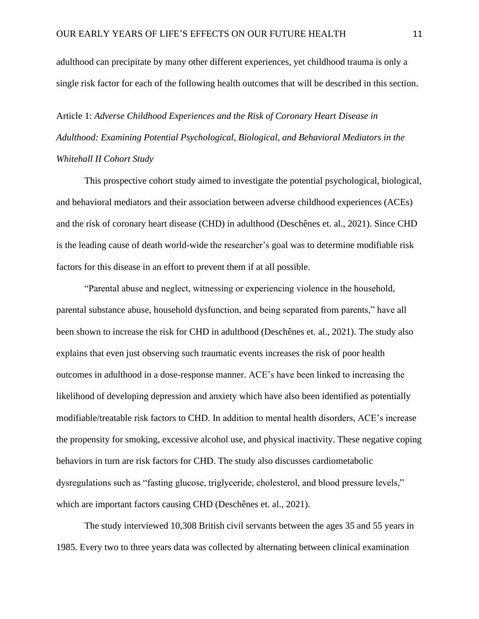adulthood can precipitate by many other different experiences, yet childhood trauma is only a single risk factor for each of the following health outcomes that will be described in this section.

Article 1: *Adverse Childhood Experiences and the Risk of Coronary Heart Disease in Adulthood: Examining Potential Psychological, Biological, and Behavioral Mediators in the Whitehall II Cohort Study* 

This prospective cohort study aimed to investigate the potential psychological, biological, and behavioral mediators and their association between adverse childhood experiences (ACEs) and the risk of coronary heart disease (CHD) in adulthood (Deschênes et. al., 2021). Since CHD is the leading cause of death world-wide the researcher's goal was to determine modifiable risk factors for this disease in an effort to prevent them if at all possible.

"Parental abuse and neglect, witnessing or experiencing violence in the household, parental substance abuse, household dysfunction, and being separated from parents," have all been shown to increase the risk for CHD in adulthood (Deschênes et. al., 2021). The study also explains that even just observing such traumatic events increases the risk of poor health outcomes in adulthood in a dose-response manner. ACE's have been linked to increasing the likelihood of developing depression and anxiety which have also been identified as potentially modifiable/treatable risk factors to CHD. In addition to mental health disorders, ACE's increase the propensity for smoking, excessive alcohol use, and physical inactivity. These negative coping behaviors in turn are risk factors for CHD. The study also discusses cardiometabolic dysregulations such as "fasting glucose, triglyceride, cholesterol, and blood pressure levels," which are important factors causing CHD (Deschênes et. al., 2021).

The study interviewed 10,308 British civil servants between the ages 35 and 55 years in 1985. Every two to three years data was collected by alternating between clinical examination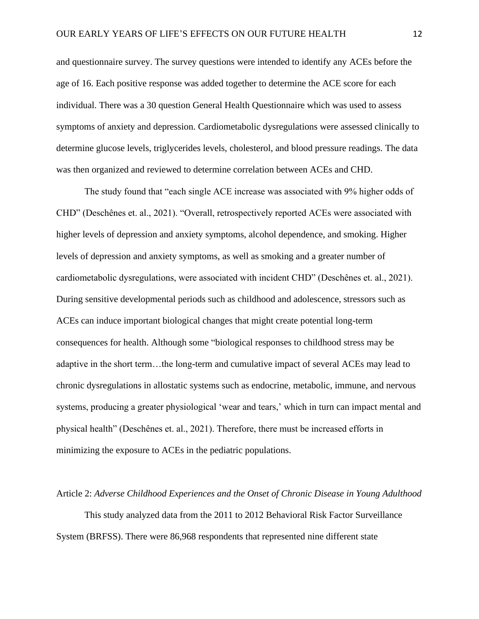and questionnaire survey. The survey questions were intended to identify any ACEs before the age of 16. Each positive response was added together to determine the ACE score for each individual. There was a 30 question General Health Questionnaire which was used to assess symptoms of anxiety and depression. Cardiometabolic dysregulations were assessed clinically to determine glucose levels, triglycerides levels, cholesterol, and blood pressure readings. The data was then organized and reviewed to determine correlation between ACEs and CHD.

The study found that "each single ACE increase was associated with 9% higher odds of CHD" (Deschênes et. al., 2021). "Overall, retrospectively reported ACEs were associated with higher levels of depression and anxiety symptoms, alcohol dependence, and smoking. Higher levels of depression and anxiety symptoms, as well as smoking and a greater number of cardiometabolic dysregulations, were associated with incident CHD" (Deschênes et. al., 2021). During sensitive developmental periods such as childhood and adolescence, stressors such as ACEs can induce important biological changes that might create potential long-term consequences for health. Although some "biological responses to childhood stress may be adaptive in the short term…the long-term and cumulative impact of several ACEs may lead to chronic dysregulations in allostatic systems such as endocrine, metabolic, immune, and nervous systems, producing a greater physiological 'wear and tears,' which in turn can impact mental and physical health" (Deschênes et. al., 2021). Therefore, there must be increased efforts in minimizing the exposure to ACEs in the pediatric populations.

#### Article 2: *Adverse Childhood Experiences and the Onset of Chronic Disease in Young Adulthood*

This study analyzed data from the 2011 to 2012 Behavioral Risk Factor Surveillance System (BRFSS). There were 86,968 respondents that represented nine different state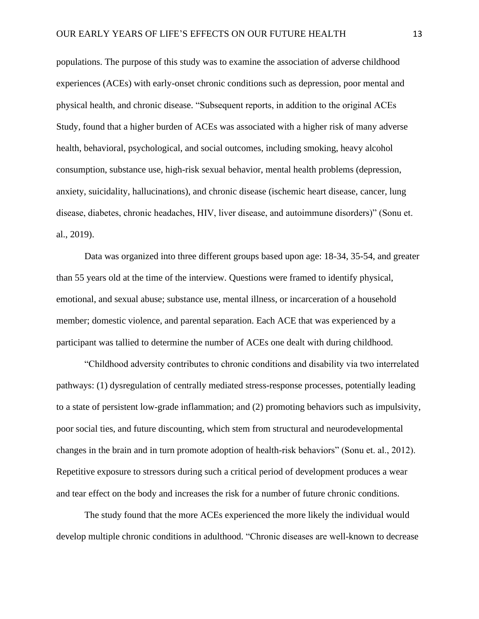populations. The purpose of this study was to examine the association of adverse childhood experiences (ACEs) with early-onset chronic conditions such as depression, poor mental and physical health, and chronic disease. "Subsequent reports, in addition to the original ACEs Study, found that a higher burden of ACEs was associated with a higher risk of many adverse health, behavioral, psychological, and social outcomes, including smoking, heavy alcohol consumption, substance use, high-risk sexual behavior, mental health problems (depression, anxiety, suicidality, hallucinations), and chronic disease (ischemic heart disease, cancer, lung disease, diabetes, chronic headaches, HIV, liver disease, and autoimmune disorders)" (Sonu et. al., 2019).

Data was organized into three different groups based upon age: 18-34, 35-54, and greater than 55 years old at the time of the interview. Questions were framed to identify physical, emotional, and sexual abuse; substance use, mental illness, or incarceration of a household member; domestic violence, and parental separation. Each ACE that was experienced by a participant was tallied to determine the number of ACEs one dealt with during childhood.

"Childhood adversity contributes to chronic conditions and disability via two interrelated pathways: (1) dysregulation of centrally mediated stress-response processes, potentially leading to a state of persistent low-grade inflammation; and (2) promoting behaviors such as impulsivity, poor social ties, and future discounting, which stem from structural and neurodevelopmental changes in the brain and in turn promote adoption of health-risk behaviors" (Sonu et. al., 2012). Repetitive exposure to stressors during such a critical period of development produces a wear and tear effect on the body and increases the risk for a number of future chronic conditions.

The study found that the more ACEs experienced the more likely the individual would develop multiple chronic conditions in adulthood. "Chronic diseases are well-known to decrease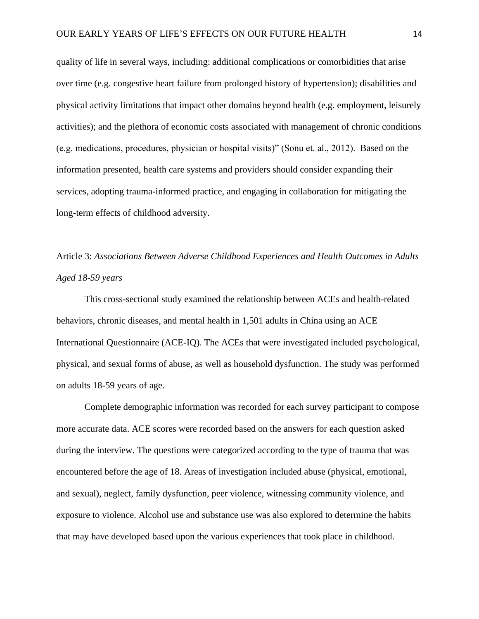quality of life in several ways, including: additional complications or comorbidities that arise over time (e.g. congestive heart failure from prolonged history of hypertension); disabilities and physical activity limitations that impact other domains beyond health (e.g. employment, leisurely activities); and the plethora of economic costs associated with management of chronic conditions (e.g. medications, procedures, physician or hospital visits)" (Sonu et. al., 2012). Based on the information presented, health care systems and providers should consider expanding their services, adopting trauma-informed practice, and engaging in collaboration for mitigating the long-term effects of childhood adversity.

Article 3: *Associations Between Adverse Childhood Experiences and Health Outcomes in Adults Aged 18-59 years* 

This cross-sectional study examined the relationship between ACEs and health-related behaviors, chronic diseases, and mental health in 1,501 adults in China using an ACE International Questionnaire (ACE-IQ). The ACEs that were investigated included psychological, physical, and sexual forms of abuse, as well as household dysfunction. The study was performed on adults 18-59 years of age.

Complete demographic information was recorded for each survey participant to compose more accurate data. ACE scores were recorded based on the answers for each question asked during the interview. The questions were categorized according to the type of trauma that was encountered before the age of 18. Areas of investigation included abuse (physical, emotional, and sexual), neglect, family dysfunction, peer violence, witnessing community violence, and exposure to violence. Alcohol use and substance use was also explored to determine the habits that may have developed based upon the various experiences that took place in childhood.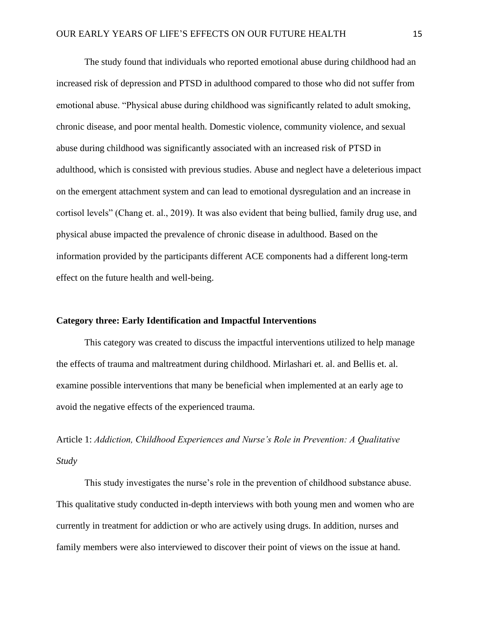The study found that individuals who reported emotional abuse during childhood had an increased risk of depression and PTSD in adulthood compared to those who did not suffer from emotional abuse. "Physical abuse during childhood was significantly related to adult smoking, chronic disease, and poor mental health. Domestic violence, community violence, and sexual abuse during childhood was significantly associated with an increased risk of PTSD in adulthood, which is consisted with previous studies. Abuse and neglect have a deleterious impact on the emergent attachment system and can lead to emotional dysregulation and an increase in cortisol levels" (Chang et. al., 2019). It was also evident that being bullied, family drug use, and physical abuse impacted the prevalence of chronic disease in adulthood. Based on the information provided by the participants different ACE components had a different long-term effect on the future health and well-being.

#### **Category three: Early Identification and Impactful Interventions**

This category was created to discuss the impactful interventions utilized to help manage the effects of trauma and maltreatment during childhood. Mirlashari et. al. and Bellis et. al. examine possible interventions that many be beneficial when implemented at an early age to avoid the negative effects of the experienced trauma.

Article 1: *Addiction, Childhood Experiences and Nurse's Role in Prevention: A Qualitative Study* 

This study investigates the nurse's role in the prevention of childhood substance abuse. This qualitative study conducted in-depth interviews with both young men and women who are currently in treatment for addiction or who are actively using drugs. In addition, nurses and family members were also interviewed to discover their point of views on the issue at hand.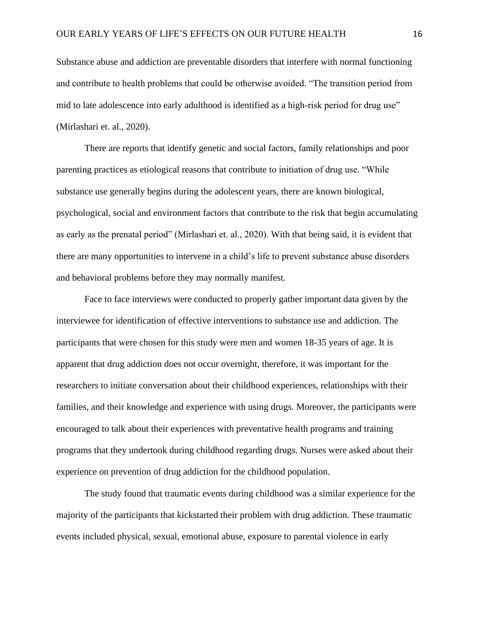Substance abuse and addiction are preventable disorders that interfere with normal functioning and contribute to health problems that could be otherwise avoided. "The transition period from mid to late adolescence into early adulthood is identified as a high-risk period for drug use" (Mirlashari et. al., 2020).

There are reports that identify genetic and social factors, family relationships and poor parenting practices as etiological reasons that contribute to initiation of drug use. "While substance use generally begins during the adolescent years, there are known biological, psychological, social and environment factors that contribute to the risk that begin accumulating as early as the prenatal period" (Mirlashari et. al., 2020). With that being said, it is evident that there are many opportunities to intervene in a child's life to prevent substance abuse disorders and behavioral problems before they may normally manifest.

Face to face interviews were conducted to properly gather important data given by the interviewee for identification of effective interventions to substance use and addiction. The participants that were chosen for this study were men and women 18-35 years of age. It is apparent that drug addiction does not occur overnight, therefore, it was important for the researchers to initiate conversation about their childhood experiences, relationships with their families, and their knowledge and experience with using drugs. Moreover, the participants were encouraged to talk about their experiences with preventative health programs and training programs that they undertook during childhood regarding drugs. Nurses were asked about their experience on prevention of drug addiction for the childhood population.

The study found that traumatic events during childhood was a similar experience for the majority of the participants that kickstarted their problem with drug addiction. These traumatic events included physical, sexual, emotional abuse, exposure to parental violence in early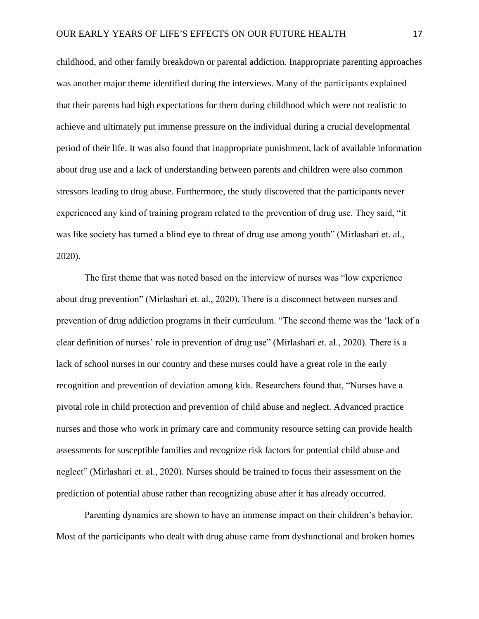childhood, and other family breakdown or parental addiction. Inappropriate parenting approaches was another major theme identified during the interviews. Many of the participants explained that their parents had high expectations for them during childhood which were not realistic to achieve and ultimately put immense pressure on the individual during a crucial developmental period of their life. It was also found that inappropriate punishment, lack of available information about drug use and a lack of understanding between parents and children were also common stressors leading to drug abuse. Furthermore, the study discovered that the participants never experienced any kind of training program related to the prevention of drug use. They said, "it was like society has turned a blind eye to threat of drug use among youth" (Mirlashari et. al., 2020).

The first theme that was noted based on the interview of nurses was "low experience about drug prevention" (Mirlashari et. al., 2020). There is a disconnect between nurses and prevention of drug addiction programs in their curriculum. "The second theme was the 'lack of a clear definition of nurses' role in prevention of drug use" (Mirlashari et. al., 2020). There is a lack of school nurses in our country and these nurses could have a great role in the early recognition and prevention of deviation among kids. Researchers found that, "Nurses have a pivotal role in child protection and prevention of child abuse and neglect. Advanced practice nurses and those who work in primary care and community resource setting can provide health assessments for susceptible families and recognize risk factors for potential child abuse and neglect" (Mirlashari et. al., 2020). Nurses should be trained to focus their assessment on the prediction of potential abuse rather than recognizing abuse after it has already occurred.

Parenting dynamics are shown to have an immense impact on their children's behavior. Most of the participants who dealt with drug abuse came from dysfunctional and broken homes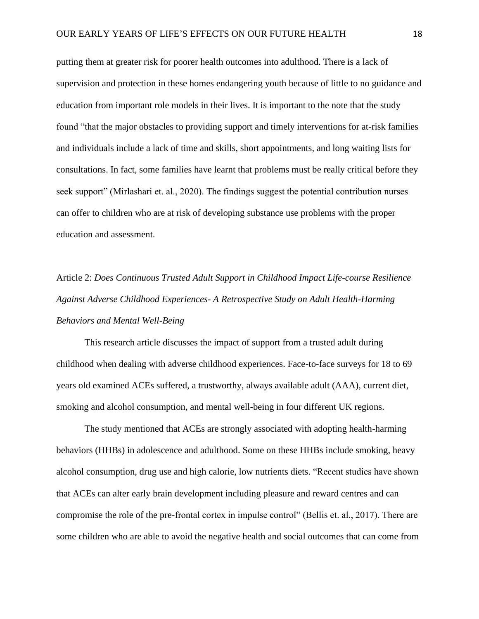putting them at greater risk for poorer health outcomes into adulthood. There is a lack of supervision and protection in these homes endangering youth because of little to no guidance and education from important role models in their lives. It is important to the note that the study found "that the major obstacles to providing support and timely interventions for at-risk families and individuals include a lack of time and skills, short appointments, and long waiting lists for consultations. In fact, some families have learnt that problems must be really critical before they seek support" (Mirlashari et. al., 2020). The findings suggest the potential contribution nurses can offer to children who are at risk of developing substance use problems with the proper education and assessment.

Article 2: *Does Continuous Trusted Adult Support in Childhood Impact Life-course Resilience Against Adverse Childhood Experiences- A Retrospective Study on Adult Health-Harming Behaviors and Mental Well-Being*

This research article discusses the impact of support from a trusted adult during childhood when dealing with adverse childhood experiences. Face-to-face surveys for 18 to 69 years old examined ACEs suffered, a trustworthy, always available adult (AAA), current diet, smoking and alcohol consumption, and mental well-being in four different UK regions.

The study mentioned that ACEs are strongly associated with adopting health-harming behaviors (HHBs) in adolescence and adulthood. Some on these HHBs include smoking, heavy alcohol consumption, drug use and high calorie, low nutrients diets. "Recent studies have shown that ACEs can alter early brain development including pleasure and reward centres and can compromise the role of the pre-frontal cortex in impulse control" (Bellis et. al., 2017). There are some children who are able to avoid the negative health and social outcomes that can come from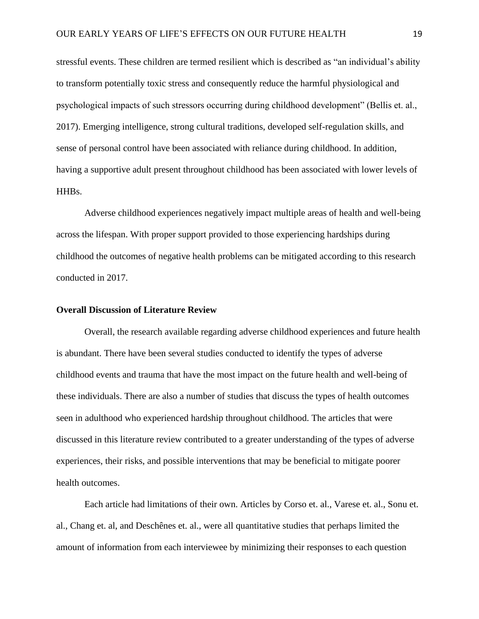stressful events. These children are termed resilient which is described as "an individual's ability to transform potentially toxic stress and consequently reduce the harmful physiological and psychological impacts of such stressors occurring during childhood development" (Bellis et. al., 2017). Emerging intelligence, strong cultural traditions, developed self-regulation skills, and sense of personal control have been associated with reliance during childhood. In addition, having a supportive adult present throughout childhood has been associated with lower levels of HHBs.

Adverse childhood experiences negatively impact multiple areas of health and well-being across the lifespan. With proper support provided to those experiencing hardships during childhood the outcomes of negative health problems can be mitigated according to this research conducted in 2017.

#### **Overall Discussion of Literature Review**

Overall, the research available regarding adverse childhood experiences and future health is abundant. There have been several studies conducted to identify the types of adverse childhood events and trauma that have the most impact on the future health and well-being of these individuals. There are also a number of studies that discuss the types of health outcomes seen in adulthood who experienced hardship throughout childhood. The articles that were discussed in this literature review contributed to a greater understanding of the types of adverse experiences, their risks, and possible interventions that may be beneficial to mitigate poorer health outcomes.

Each article had limitations of their own. Articles by Corso et. al., Varese et. al., Sonu et. al., Chang et. al, and Deschênes et. al., were all quantitative studies that perhaps limited the amount of information from each interviewee by minimizing their responses to each question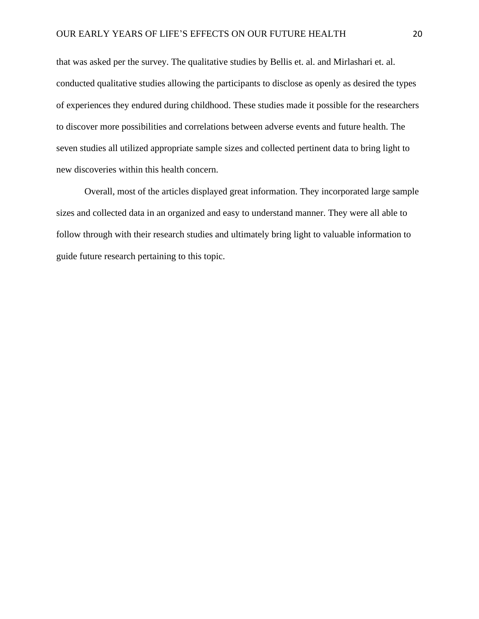that was asked per the survey. The qualitative studies by Bellis et. al. and Mirlashari et. al. conducted qualitative studies allowing the participants to disclose as openly as desired the types of experiences they endured during childhood. These studies made it possible for the researchers to discover more possibilities and correlations between adverse events and future health. The seven studies all utilized appropriate sample sizes and collected pertinent data to bring light to new discoveries within this health concern.

Overall, most of the articles displayed great information. They incorporated large sample sizes and collected data in an organized and easy to understand manner. They were all able to follow through with their research studies and ultimately bring light to valuable information to guide future research pertaining to this topic.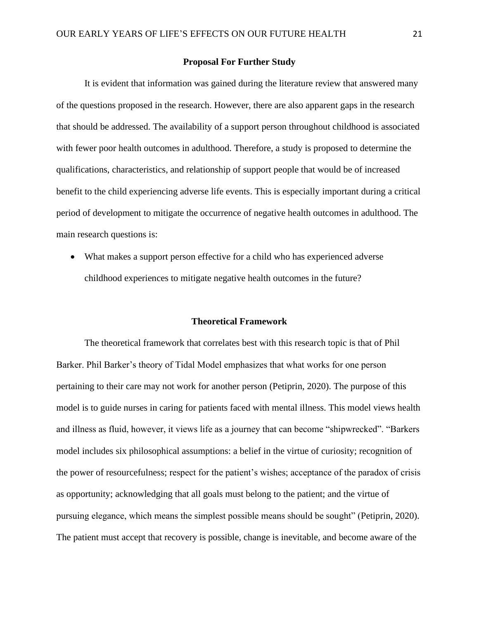#### **Proposal For Further Study**

It is evident that information was gained during the literature review that answered many of the questions proposed in the research. However, there are also apparent gaps in the research that should be addressed. The availability of a support person throughout childhood is associated with fewer poor health outcomes in adulthood. Therefore, a study is proposed to determine the qualifications, characteristics, and relationship of support people that would be of increased benefit to the child experiencing adverse life events. This is especially important during a critical period of development to mitigate the occurrence of negative health outcomes in adulthood. The main research questions is:

• What makes a support person effective for a child who has experienced adverse childhood experiences to mitigate negative health outcomes in the future?

#### **Theoretical Framework**

The theoretical framework that correlates best with this research topic is that of Phil Barker. Phil Barker's theory of Tidal Model emphasizes that what works for one person pertaining to their care may not work for another person (Petiprin, 2020). The purpose of this model is to guide nurses in caring for patients faced with mental illness. This model views health and illness as fluid, however, it views life as a journey that can become "shipwrecked". "Barkers model includes six philosophical assumptions: a belief in the virtue of curiosity; recognition of the power of resourcefulness; respect for the patient's wishes; acceptance of the paradox of crisis as opportunity; acknowledging that all goals must belong to the patient; and the virtue of pursuing elegance, which means the simplest possible means should be sought" (Petiprin, 2020). The patient must accept that recovery is possible, change is inevitable, and become aware of the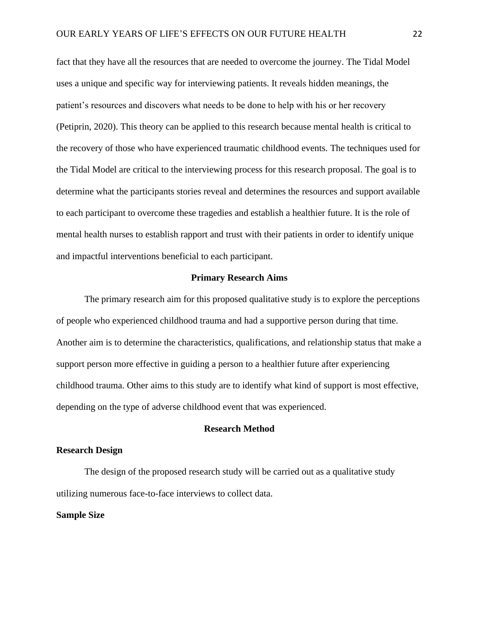fact that they have all the resources that are needed to overcome the journey. The Tidal Model uses a unique and specific way for interviewing patients. It reveals hidden meanings, the patient's resources and discovers what needs to be done to help with his or her recovery (Petiprin, 2020). This theory can be applied to this research because mental health is critical to the recovery of those who have experienced traumatic childhood events. The techniques used for the Tidal Model are critical to the interviewing process for this research proposal. The goal is to determine what the participants stories reveal and determines the resources and support available to each participant to overcome these tragedies and establish a healthier future. It is the role of mental health nurses to establish rapport and trust with their patients in order to identify unique and impactful interventions beneficial to each participant.

#### **Primary Research Aims**

The primary research aim for this proposed qualitative study is to explore the perceptions of people who experienced childhood trauma and had a supportive person during that time. Another aim is to determine the characteristics, qualifications, and relationship status that make a support person more effective in guiding a person to a healthier future after experiencing childhood trauma. Other aims to this study are to identify what kind of support is most effective, depending on the type of adverse childhood event that was experienced.

#### **Research Method**

#### **Research Design**

The design of the proposed research study will be carried out as a qualitative study utilizing numerous face-to-face interviews to collect data.

#### **Sample Size**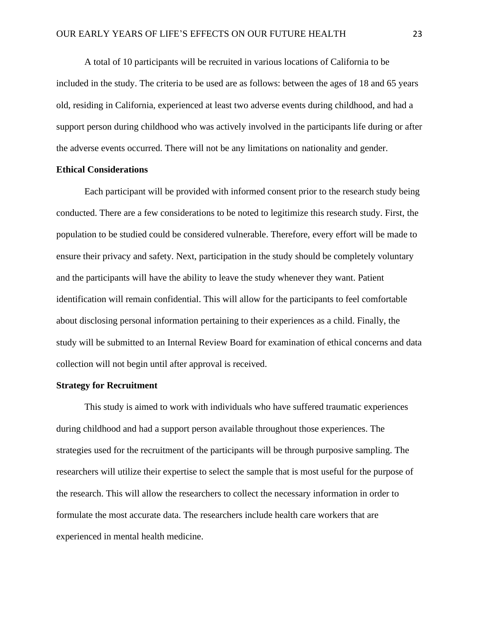A total of 10 participants will be recruited in various locations of California to be included in the study. The criteria to be used are as follows: between the ages of 18 and 65 years old, residing in California, experienced at least two adverse events during childhood, and had a support person during childhood who was actively involved in the participants life during or after the adverse events occurred. There will not be any limitations on nationality and gender.

#### **Ethical Considerations**

Each participant will be provided with informed consent prior to the research study being conducted. There are a few considerations to be noted to legitimize this research study. First, the population to be studied could be considered vulnerable. Therefore, every effort will be made to ensure their privacy and safety. Next, participation in the study should be completely voluntary and the participants will have the ability to leave the study whenever they want. Patient identification will remain confidential. This will allow for the participants to feel comfortable about disclosing personal information pertaining to their experiences as a child. Finally, the study will be submitted to an Internal Review Board for examination of ethical concerns and data collection will not begin until after approval is received.

#### **Strategy for Recruitment**

This study is aimed to work with individuals who have suffered traumatic experiences during childhood and had a support person available throughout those experiences. The strategies used for the recruitment of the participants will be through purposive sampling. The researchers will utilize their expertise to select the sample that is most useful for the purpose of the research. This will allow the researchers to collect the necessary information in order to formulate the most accurate data. The researchers include health care workers that are experienced in mental health medicine.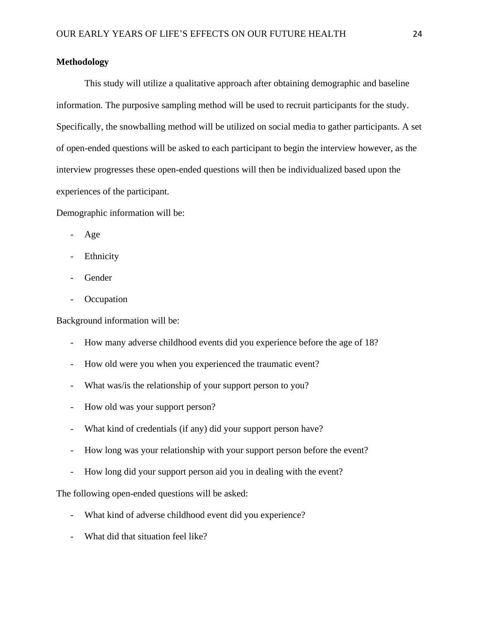#### **Methodology**

This study will utilize a qualitative approach after obtaining demographic and baseline information. The purposive sampling method will be used to recruit participants for the study. Specifically, the snowballing method will be utilized on social media to gather participants. A set of open-ended questions will be asked to each participant to begin the interview however, as the interview progresses these open-ended questions will then be individualized based upon the experiences of the participant.

Demographic information will be:

- Age
- Ethnicity
- Gender
- **Occupation**

Background information will be:

- How many adverse childhood events did you experience before the age of 18?
- How old were you when you experienced the traumatic event?
- What was/is the relationship of your support person to you?
- How old was your support person?
- What kind of credentials (if any) did your support person have?
- How long was your relationship with your support person before the event?
- How long did your support person aid you in dealing with the event?

The following open-ended questions will be asked:

- What kind of adverse childhood event did you experience?
- What did that situation feel like?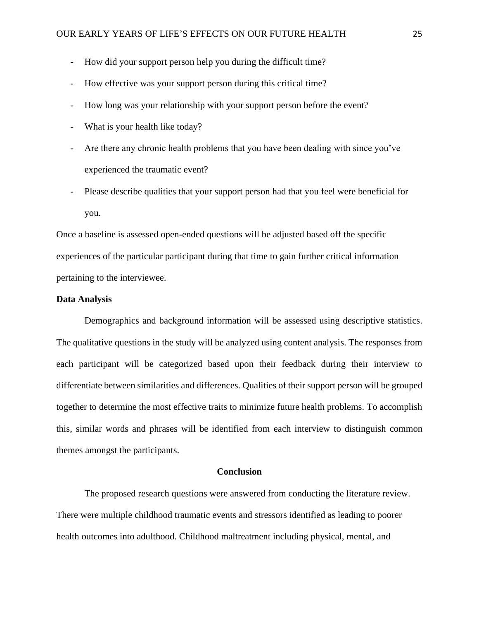- How did your support person help you during the difficult time?
- How effective was your support person during this critical time?
- How long was your relationship with your support person before the event?
- What is your health like today?
- Are there any chronic health problems that you have been dealing with since you've experienced the traumatic event?
- Please describe qualities that your support person had that you feel were beneficial for you.

Once a baseline is assessed open-ended questions will be adjusted based off the specific experiences of the particular participant during that time to gain further critical information pertaining to the interviewee.

#### **Data Analysis**

Demographics and background information will be assessed using descriptive statistics. The qualitative questions in the study will be analyzed using content analysis. The responses from each participant will be categorized based upon their feedback during their interview to differentiate between similarities and differences. Qualities of their support person will be grouped together to determine the most effective traits to minimize future health problems. To accomplish this, similar words and phrases will be identified from each interview to distinguish common themes amongst the participants.

#### **Conclusion**

The proposed research questions were answered from conducting the literature review. There were multiple childhood traumatic events and stressors identified as leading to poorer health outcomes into adulthood. Childhood maltreatment including physical, mental, and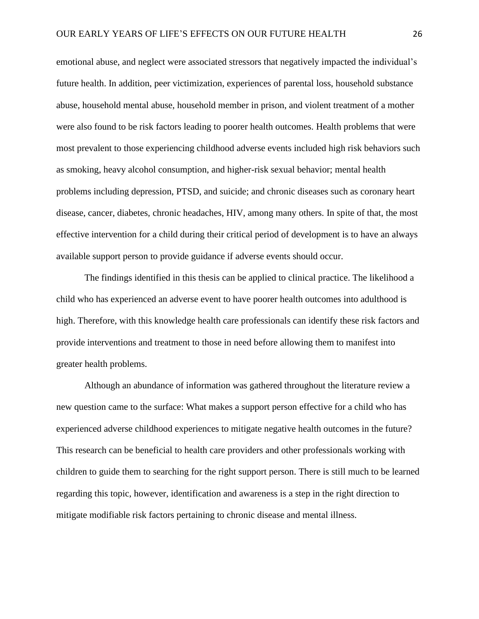emotional abuse, and neglect were associated stressors that negatively impacted the individual's future health. In addition, peer victimization, experiences of parental loss, household substance abuse, household mental abuse, household member in prison, and violent treatment of a mother were also found to be risk factors leading to poorer health outcomes. Health problems that were most prevalent to those experiencing childhood adverse events included high risk behaviors such as smoking, heavy alcohol consumption, and higher-risk sexual behavior; mental health problems including depression, PTSD, and suicide; and chronic diseases such as coronary heart disease, cancer, diabetes, chronic headaches, HIV, among many others. In spite of that, the most effective intervention for a child during their critical period of development is to have an always available support person to provide guidance if adverse events should occur.

The findings identified in this thesis can be applied to clinical practice. The likelihood a child who has experienced an adverse event to have poorer health outcomes into adulthood is high. Therefore, with this knowledge health care professionals can identify these risk factors and provide interventions and treatment to those in need before allowing them to manifest into greater health problems.

Although an abundance of information was gathered throughout the literature review a new question came to the surface: What makes a support person effective for a child who has experienced adverse childhood experiences to mitigate negative health outcomes in the future? This research can be beneficial to health care providers and other professionals working with children to guide them to searching for the right support person. There is still much to be learned regarding this topic, however, identification and awareness is a step in the right direction to mitigate modifiable risk factors pertaining to chronic disease and mental illness.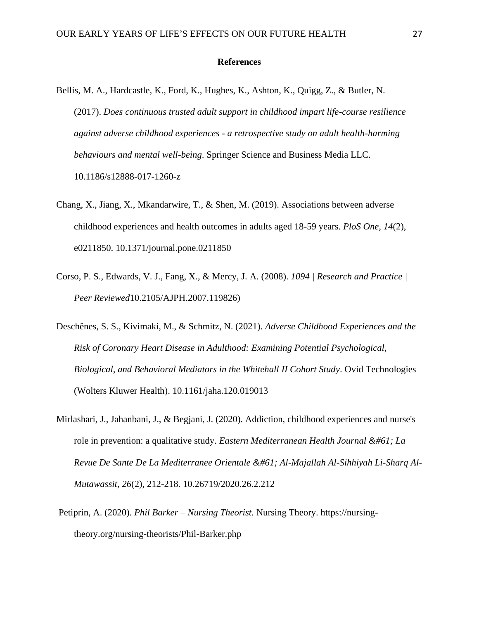#### **References**

- Bellis, M. A., Hardcastle, K., Ford, K., Hughes, K., Ashton, K., Quigg, Z., & Butler, N. (2017). *Does continuous trusted adult support in childhood impart life-course resilience against adverse childhood experiences - a retrospective study on adult health-harming behaviours and mental well-being*. Springer Science and Business Media LLC. 10.1186/s12888-017-1260-z
- Chang, X., Jiang, X., Mkandarwire, T., & Shen, M. (2019). Associations between adverse childhood experiences and health outcomes in adults aged 18-59 years. *PloS One, 14*(2), e0211850. 10.1371/journal.pone.0211850
- Corso, P. S., Edwards, V. J., Fang, X., & Mercy, J. A. (2008). *1094 | Research and Practice | Peer Reviewed*10.2105/AJPH.2007.119826)
- Deschênes, S. S., Kivimaki, M., & Schmitz, N. (2021). *Adverse Childhood Experiences and the Risk of Coronary Heart Disease in Adulthood: Examining Potential Psychological, Biological, and Behavioral Mediators in the Whitehall II Cohort Study*. Ovid Technologies (Wolters Kluwer Health). 10.1161/jaha.120.019013
- Mirlashari, J., Jahanbani, J., & Begjani, J. (2020). Addiction, childhood experiences and nurse's role in prevention: a qualitative study. *Eastern Mediterranean Health Journal = La* Revue De Sante De La Mediterranee Orientale = Al-Majallah Al-Sihhiyah Li-Sharq Al-*Mutawassit, 26*(2), 212-218. 10.26719/2020.26.2.212
- Petiprin, A. (2020). *Phil Barker – Nursing Theorist.* Nursing Theory. https://nursingtheory.org/nursing-theorists/Phil-Barker.php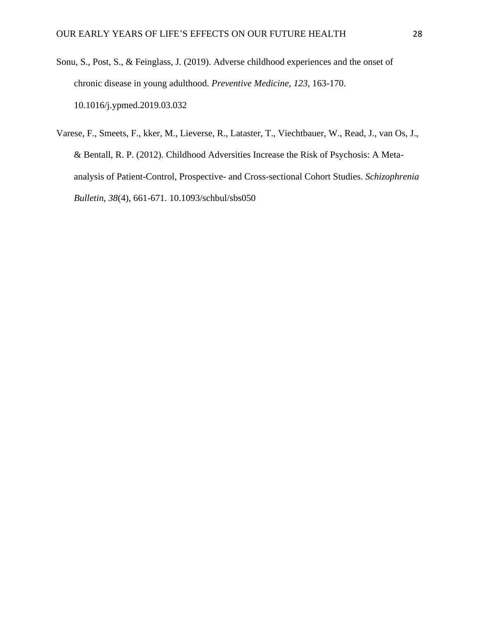- Sonu, S., Post, S., & Feinglass, J. (2019). Adverse childhood experiences and the onset of chronic disease in young adulthood. *Preventive Medicine, 123*, 163-170. 10.1016/j.ypmed.2019.03.032
- Varese, F., Smeets, F., kker, M., Lieverse, R., Lataster, T., Viechtbauer, W., Read, J., van Os, J., & Bentall, R. P. (2012). Childhood Adversities Increase the Risk of Psychosis: A Metaanalysis of Patient-Control, Prospective- and Cross-sectional Cohort Studies. *Schizophrenia Bulletin, 38*(4), 661-671. 10.1093/schbul/sbs050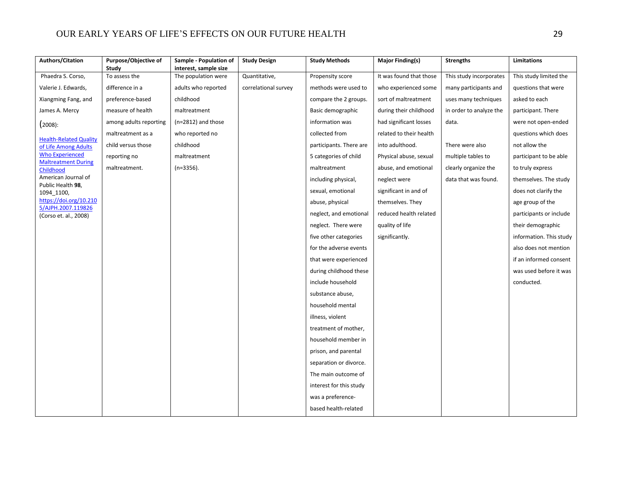| <b>Authors/Citation</b>                               | Purpose/Objective of   | Sample - Population of                       | <b>Study Design</b>  | <b>Study Methods</b>    | Major Finding(s)        | <b>Strengths</b>        | Limitations             |
|-------------------------------------------------------|------------------------|----------------------------------------------|----------------------|-------------------------|-------------------------|-------------------------|-------------------------|
| Phaedra S. Corso,                                     | Study<br>To assess the | interest, sample size<br>The population were | Quantitative,        | Propensity score        | It was found that those | This study incorporates | This study limited the  |
| Valerie J. Edwards,                                   | difference in a        | adults who reported                          | correlational survey | methods were used to    | who experienced some    | many participants and   | questions that were     |
| Xiangming Fang, and                                   | preference-based       | childhood                                    |                      | compare the 2 groups.   | sort of maltreatment    | uses many techniques    | asked to each           |
| James A. Mercy                                        | measure of health      | maltreatment                                 |                      | Basic demographic       | during their childhood  | in order to analyze the | participant. There      |
|                                                       | among adults reporting | $(n=2812)$ and those                         |                      | information was         | had significant losses  | data.                   | were not open-ended     |
| (2008):                                               | maltreatment as a      | who reported no                              |                      | collected from          | related to their health |                         | questions which does    |
| <b>Health-Related Quality</b><br>of Life Among Adults | child versus those     | childhood                                    |                      | participants. There are | into adulthood.         | There were also         | not allow the           |
| <b>Who Experienced</b>                                | reporting no           | maltreatment                                 |                      | 5 categories of child   | Physical abuse, sexual  | multiple tables to      | participant to be able  |
| <b>Maltreatment During</b><br>Childhood               | maltreatment.          | $(n=3356)$ .                                 |                      | maltreatment            | abuse, and emotional    | clearly organize the    | to truly express        |
| American Journal of                                   |                        |                                              |                      | including physical,     | neglect were            | data that was found.    | themselves. The study   |
| Public Health 98,                                     |                        |                                              |                      | sexual, emotional       | significant in and of   |                         | does not clarify the    |
| 1094_1100,<br>https://doi.org/10.210                  |                        |                                              |                      | abuse, physical         | themselves. They        |                         | age group of the        |
| 5/AJPH.2007.119826                                    |                        |                                              |                      | neglect, and emotional  | reduced health related  |                         | participants or include |
| (Corso et. al., 2008)                                 |                        |                                              |                      | neglect. There were     | quality of life         |                         | their demographic       |
|                                                       |                        |                                              |                      | five other categories   | significantly.          |                         | information. This study |
|                                                       |                        |                                              |                      | for the adverse events  |                         |                         | also does not mention   |
|                                                       |                        |                                              |                      | that were experienced   |                         |                         | if an informed consent  |
|                                                       |                        |                                              |                      | during childhood these  |                         |                         | was used before it was  |
|                                                       |                        |                                              |                      | include household       |                         |                         | conducted.              |
|                                                       |                        |                                              |                      |                         |                         |                         |                         |
|                                                       |                        |                                              |                      | substance abuse,        |                         |                         |                         |
|                                                       |                        |                                              |                      | household mental        |                         |                         |                         |
|                                                       |                        |                                              |                      | illness, violent        |                         |                         |                         |
|                                                       |                        |                                              |                      | treatment of mother,    |                         |                         |                         |
|                                                       |                        |                                              |                      | household member in     |                         |                         |                         |
|                                                       |                        |                                              |                      | prison, and parental    |                         |                         |                         |
|                                                       |                        |                                              |                      | separation or divorce.  |                         |                         |                         |
|                                                       |                        |                                              |                      | The main outcome of     |                         |                         |                         |
|                                                       |                        |                                              |                      | interest for this study |                         |                         |                         |
|                                                       |                        |                                              |                      | was a preference-       |                         |                         |                         |
|                                                       |                        |                                              |                      | based health-related    |                         |                         |                         |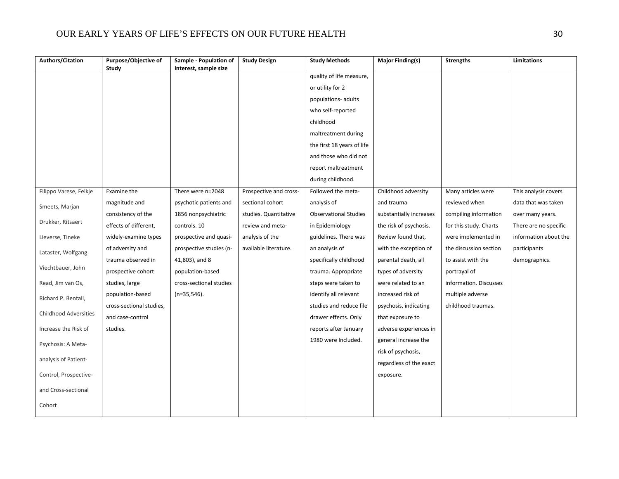| Authors/Citation             | Purpose/Objective of     | Sample - Population of  | <b>Study Design</b>    | <b>Study Methods</b>         | Major Finding(s)        | <b>Strengths</b>       | <b>Limitations</b>    |
|------------------------------|--------------------------|-------------------------|------------------------|------------------------------|-------------------------|------------------------|-----------------------|
|                              | Study                    | interest, sample size   |                        | quality of life measure,     |                         |                        |                       |
|                              |                          |                         |                        | or utility for 2             |                         |                        |                       |
|                              |                          |                         |                        | populations- adults          |                         |                        |                       |
|                              |                          |                         |                        | who self-reported            |                         |                        |                       |
|                              |                          |                         |                        | childhood                    |                         |                        |                       |
|                              |                          |                         |                        | maltreatment during          |                         |                        |                       |
|                              |                          |                         |                        | the first 18 years of life   |                         |                        |                       |
|                              |                          |                         |                        | and those who did not        |                         |                        |                       |
|                              |                          |                         |                        | report maltreatment          |                         |                        |                       |
|                              |                          |                         |                        | during childhood.            |                         |                        |                       |
| Filippo Varese, Feikje       | Examine the              | There were n=2048       | Prospective and cross- | Followed the meta-           | Childhood adversity     | Many articles were     | This analysis covers  |
| Smeets, Marjan               | magnitude and            | psychotic patients and  | sectional cohort       | analysis of                  | and trauma              | reviewed when          | data that was taken   |
|                              | consistency of the       | 1856 nonpsychiatric     | studies. Quantitative  | <b>Observational Studies</b> | substantially increases | compiling information  | over many years.      |
| Drukker, Ritsaert            | effects of different,    | controls. 10            | review and meta-       | in Epidemiology              | the risk of psychosis.  | for this study. Charts | There are no specific |
| Lieverse, Tineke             | widely-examine types     | prospective and quasi-  | analysis of the        | guidelines. There was        | Review found that,      | were implemented in    | information about the |
| Lataster, Wolfgang           | of adversity and         | prospective studies (n- | available literature.  | an analysis of               | with the exception of   | the discussion section | participants          |
|                              | trauma observed in       | 41,803), and 8          |                        | specifically childhood       | parental death, all     | to assist with the     | demographics.         |
| Viechtbauer, John            | prospective cohort       | population-based        |                        | trauma. Appropriate          | types of adversity      | portrayal of           |                       |
| Read, Jim van Os,            | studies, large           | cross-sectional studies |                        | steps were taken to          | were related to an      | information. Discusses |                       |
| Richard P. Bentall,          | population-based         | $(n=35,546)$ .          |                        | identify all relevant        | increased risk of       | multiple adverse       |                       |
|                              | cross-sectional studies, |                         |                        | studies and reduce file      | psychosis, indicating   | childhood traumas.     |                       |
| <b>Childhood Adversities</b> | and case-control         |                         |                        | drawer effects. Only         | that exposure to        |                        |                       |
| Increase the Risk of         | studies.                 |                         |                        | reports after January        | adverse experiences in  |                        |                       |
| Psychosis: A Meta-           |                          |                         |                        | 1980 were Included.          | general increase the    |                        |                       |
|                              |                          |                         |                        |                              | risk of psychosis,      |                        |                       |
| analysis of Patient-         |                          |                         |                        |                              | regardless of the exact |                        |                       |
| Control, Prospective-        |                          |                         |                        |                              | exposure.               |                        |                       |
| and Cross-sectional          |                          |                         |                        |                              |                         |                        |                       |
| Cohort                       |                          |                         |                        |                              |                         |                        |                       |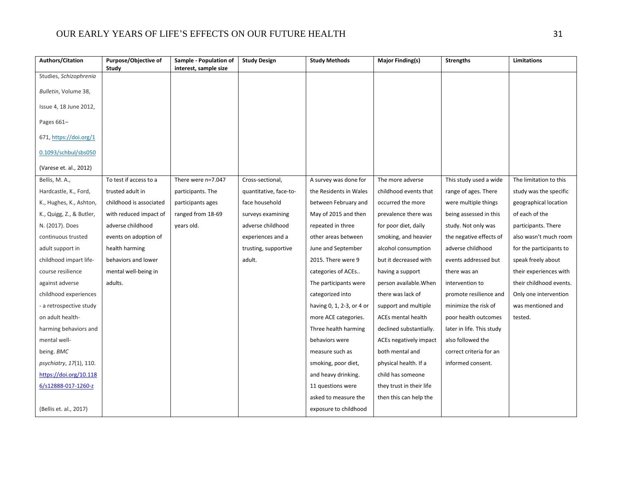| <b>Authors/Citation</b>         | Purpose/Objective of    | Sample - Population of | <b>Study Design</b>    | <b>Study Methods</b>      | Major Finding(s)         | <b>Strengths</b>          | Limitations             |
|---------------------------------|-------------------------|------------------------|------------------------|---------------------------|--------------------------|---------------------------|-------------------------|
| Studies, Schizophrenia          | Study                   | interest, sample size  |                        |                           |                          |                           |                         |
|                                 |                         |                        |                        |                           |                          |                           |                         |
| Bulletin, Volume 38,            |                         |                        |                        |                           |                          |                           |                         |
| Issue 4, 18 June 2012,          |                         |                        |                        |                           |                          |                           |                         |
| Pages 661-                      |                         |                        |                        |                           |                          |                           |                         |
| 671, https://doi.org/1          |                         |                        |                        |                           |                          |                           |                         |
| 0.1093/schbul/sbs050            |                         |                        |                        |                           |                          |                           |                         |
| (Varese et. al., 2012)          |                         |                        |                        |                           |                          |                           |                         |
| Bellis, M. A.,                  | To test if access to a  | There were n=7.047     | Cross-sectional,       | A survey was done for     | The more adverse         | This study used a wide    | The limitation to this  |
| Hardcastle, K., Ford,           | trusted adult in        | participants. The      | quantitative, face-to- | the Residents in Wales    | childhood events that    | range of ages. There      | study was the specific  |
| K., Hughes, K., Ashton,         | childhood is associated | participants ages      | face household         | between February and      | occurred the more        | were multiple things      | geographical location   |
| K., Quigg, Z., & Butler,        | with reduced impact of  | ranged from 18-69      | surveys examining      | May of 2015 and then      | prevalence there was     | being assessed in this    | of each of the          |
| N. (2017). Does                 | adverse childhood       | years old.             | adverse childhood      | repeated in three         | for poor diet, daily     | study. Not only was       | participants. There     |
| continuous trusted              | events on adoption of   |                        | experiences and a      | other areas between       | smoking, and heavier     | the negative effects of   | also wasn't much room   |
| adult support in                | health harming          |                        | trusting, supportive   | June and September        | alcohol consumption      | adverse childhood         | for the participants to |
| childhood impart life-          | behaviors and lower     |                        | adult.                 | 2015. There were 9        | but it decreased with    | events addressed but      | speak freely about      |
| course resilience               | mental well-being in    |                        |                        | categories of ACEs        | having a support         | there was an              | their experiences with  |
| against adverse                 | adults.                 |                        |                        | The participants were     | person available. When   | intervention to           | their childhood events. |
| childhood experiences           |                         |                        |                        | categorized into          | there was lack of        | promote resilience and    | Only one intervention   |
| - a retrospective study         |                         |                        |                        | having 0, 1, 2-3, or 4 or | support and multiple     | minimize the risk of      | was mentioned and       |
| on adult health-                |                         |                        |                        | more ACE categories.      | ACEs mental health       | poor health outcomes      | tested.                 |
| harming behaviors and           |                         |                        |                        | Three health harming      | declined substantially.  | later in life. This study |                         |
| mental well-                    |                         |                        |                        | behaviors were            | ACEs negatively impact   | also followed the         |                         |
| being. BMC                      |                         |                        |                        | measure such as           | both mental and          | correct criteria for an   |                         |
| <i>psychiatry, 17</i> (1), 110. |                         |                        |                        | smoking, poor diet,       | physical health. If a    | informed consent.         |                         |
| https://doi.org/10.118          |                         |                        |                        | and heavy drinking.       | child has someone        |                           |                         |
| 6/s12888-017-1260-z             |                         |                        |                        | 11 questions were         | they trust in their life |                           |                         |
|                                 |                         |                        |                        | asked to measure the      | then this can help the   |                           |                         |
| (Bellis et. al., 2017)          |                         |                        |                        | exposure to childhood     |                          |                           |                         |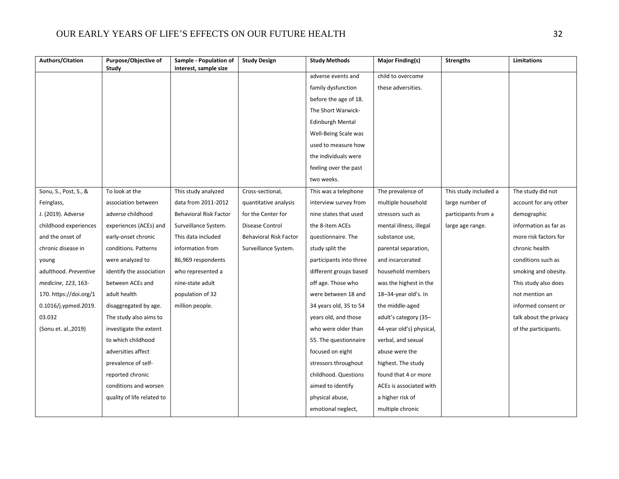| Study<br>interest, sample size<br>adverse events and<br>child to overcome<br>family dysfunction<br>these adversities.                                               |                        |
|---------------------------------------------------------------------------------------------------------------------------------------------------------------------|------------------------|
|                                                                                                                                                                     |                        |
|                                                                                                                                                                     |                        |
| before the age of 18.                                                                                                                                               |                        |
| The Short Warwick-                                                                                                                                                  |                        |
| <b>Edinburgh Mental</b>                                                                                                                                             |                        |
| Well-Being Scale was                                                                                                                                                |                        |
| used to measure how                                                                                                                                                 |                        |
|                                                                                                                                                                     |                        |
| the individuals were                                                                                                                                                |                        |
| feeling over the past                                                                                                                                               |                        |
| two weeks.                                                                                                                                                          |                        |
| Sonu, S., Post, S., &<br>To look at the<br>This study analyzed<br>Cross-sectional,<br>This was a telephone<br>The prevalence of<br>This study included a            | The study did not      |
| Feinglass,<br>association between<br>data from 2011-2012<br>interview survey from<br>multiple household<br>large number of<br>quantitative analysis                 | account for any other  |
| J. (2019). Adverse<br>adverse childhood<br><b>Behavioral Risk Factor</b><br>for the Center for<br>nine states that used<br>stressors such as<br>participants from a | demographic            |
| childhood experiences<br>Disease Control<br>the 8-item ACEs<br>mental illness, illegal<br>experiences (ACEs) and<br>Surveillance System.<br>large age range.        | information as far as  |
| and the onset of<br>Behavioral Risk Factor<br>early-onset chronic<br>This data included<br>questionnaire. The<br>substance use,                                     | more risk factors for  |
| chronic disease in<br>conditions. Patterns<br>information from<br>Surveillance System.<br>study split the<br>parental separation,                                   | chronic health         |
| were analyzed to<br>86,969 respondents<br>participants into three<br>and incarcerated<br>young                                                                      | conditions such as     |
| adulthood. Preventive<br>different groups based<br>household members<br>identify the association<br>who represented a                                               | smoking and obesity.   |
| between ACEs and<br>nine-state adult<br>off age. Those who<br>medicine, 123, 163-<br>was the highest in the                                                         | This study also does   |
| 170. https://doi.org/1<br>adult health<br>population of 32<br>were between 18 and<br>18-34-year old's. In                                                           | not mention an         |
| 0.1016/j.ypmed.2019.<br>34 years old, 35 to 54<br>the middle-aged<br>disaggregated by age.<br>million people.                                                       | informed consent or    |
| 03.032<br>years old, and those<br>adult's category (35-<br>The study also aims to                                                                                   | talk about the privacy |
| (Sonu et. al., 2019)<br>investigate the extent<br>who were older than<br>44-year old's) physical,                                                                   | of the participants.   |
| to which childhood<br>55. The questionnaire<br>verbal, and sexual                                                                                                   |                        |
| adversities affect<br>focused on eight<br>abuse were the                                                                                                            |                        |
| prevalence of self-<br>stressors throughout<br>highest. The study                                                                                                   |                        |
| reported chronic<br>childhood. Questions<br>found that 4 or more                                                                                                    |                        |
| conditions and worsen<br>aimed to identify<br>ACEs is associated with                                                                                               |                        |
| physical abuse,<br>quality of life related to<br>a higher risk of                                                                                                   |                        |
| emotional neglect,<br>multiple chronic                                                                                                                              |                        |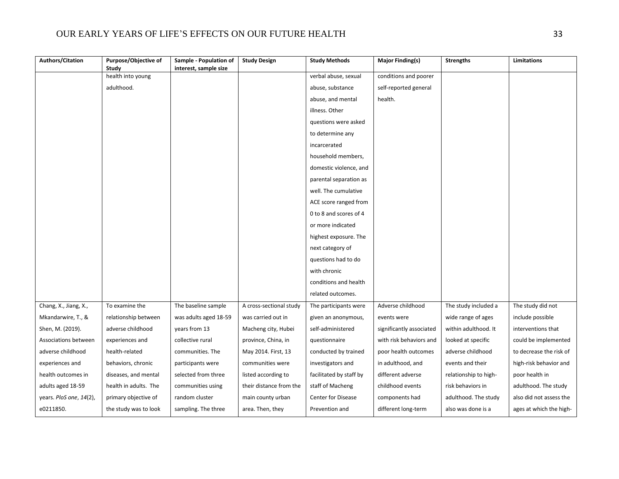| <b>Authors/Citation</b> | Purpose/Objective of  | Sample - Population of | <b>Study Design</b>     | <b>Study Methods</b>      | <b>Major Finding(s)</b>  | <b>Strengths</b>      | Limitations             |
|-------------------------|-----------------------|------------------------|-------------------------|---------------------------|--------------------------|-----------------------|-------------------------|
|                         | Study                 | interest, sample size  |                         |                           |                          |                       |                         |
|                         | health into young     |                        |                         | verbal abuse, sexual      | conditions and poorer    |                       |                         |
|                         | adulthood.            |                        |                         | abuse, substance          | self-reported general    |                       |                         |
|                         |                       |                        |                         | abuse, and mental         | health.                  |                       |                         |
|                         |                       |                        |                         | illness. Other            |                          |                       |                         |
|                         |                       |                        |                         | questions were asked      |                          |                       |                         |
|                         |                       |                        |                         | to determine any          |                          |                       |                         |
|                         |                       |                        |                         | incarcerated              |                          |                       |                         |
|                         |                       |                        |                         | household members,        |                          |                       |                         |
|                         |                       |                        |                         | domestic violence, and    |                          |                       |                         |
|                         |                       |                        |                         | parental separation as    |                          |                       |                         |
|                         |                       |                        |                         | well. The cumulative      |                          |                       |                         |
|                         |                       |                        |                         | ACE score ranged from     |                          |                       |                         |
|                         |                       |                        |                         | 0 to 8 and scores of 4    |                          |                       |                         |
|                         |                       |                        |                         | or more indicated         |                          |                       |                         |
|                         |                       |                        |                         | highest exposure. The     |                          |                       |                         |
|                         |                       |                        |                         | next category of          |                          |                       |                         |
|                         |                       |                        |                         | questions had to do       |                          |                       |                         |
|                         |                       |                        |                         | with chronic              |                          |                       |                         |
|                         |                       |                        |                         | conditions and health     |                          |                       |                         |
|                         |                       |                        |                         | related outcomes.         |                          |                       |                         |
| Chang, X., Jiang, X.,   | To examine the        | The baseline sample    | A cross-sectional study | The participants were     | Adverse childhood        | The study included a  | The study did not       |
| Mkandarwire, T., &      | relationship between  | was adults aged 18-59  | was carried out in      | given an anonymous,       | events were              | wide range of ages    | include possible        |
| Shen, M. (2019).        | adverse childhood     | years from 13          | Macheng city, Hubei     | self-administered         | significantly associated | within adulthood. It  | interventions that      |
| Associations between    | experiences and       | collective rural       | province, China, in     | questionnaire             | with risk behaviors and  | looked at specific    | could be implemented    |
| adverse childhood       | health-related        | communities. The       | May 2014. First, 13     | conducted by trained      | poor health outcomes     | adverse childhood     | to decrease the risk of |
| experiences and         | behaviors, chronic    | participants were      | communities were        | investigators and         | in adulthood, and        | events and their      | high-risk behavior and  |
| health outcomes in      | diseases, and mental  | selected from three    | listed according to     | facilitated by staff by   | different adverse        | relationship to high- | poor health in          |
| adults aged 18-59       | health in adults. The | communities using      | their distance from the | staff of Macheng          | childhood events         | risk behaviors in     | adulthood. The study    |
| years. PloS one, 14(2), | primary objective of  | random cluster         | main county urban       | <b>Center for Disease</b> | components had           | adulthood. The study  | also did not assess the |
| e0211850.               | the study was to look | sampling. The three    | area. Then, they        | Prevention and            | different long-term      | also was done is a    | ages at which the high- |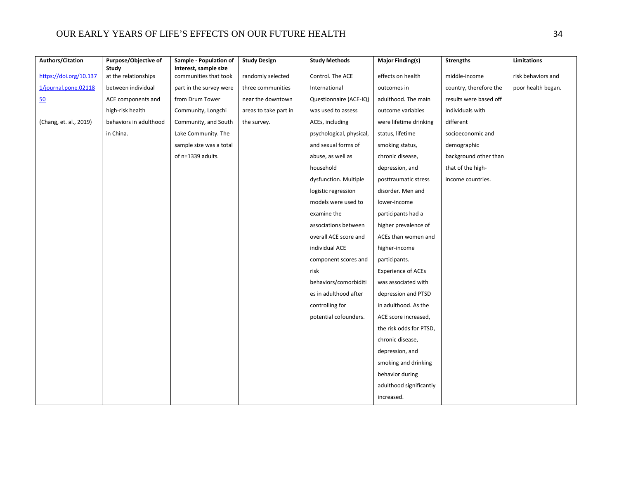| <b>Authors/Citation</b> | Purpose/Objective of<br>Study | Sample - Population of<br>interest, sample size | <b>Study Design</b>   | <b>Study Methods</b>     | <b>Major Finding(s)</b>   | <b>Strengths</b>       | Limitations        |
|-------------------------|-------------------------------|-------------------------------------------------|-----------------------|--------------------------|---------------------------|------------------------|--------------------|
| https://doi.org/10.137  | at the relationships          | communities that took                           | randomly selected     | Control. The ACE         | effects on health         | middle-income          | risk behaviors and |
| 1/journal.pone.02118    | between individual            | part in the survey were                         | three communities     | International            | outcomes in               | country, therefore the | poor health began. |
| 50                      | ACE components and            | from Drum Tower                                 | near the downtown     | Questionnaire (ACE-IQ)   | adulthood. The main       | results were based off |                    |
|                         | high-risk health              | Community, Longchi                              | areas to take part in | was used to assess       | outcome variables         | individuals with       |                    |
| (Chang, et. al., 2019)  | behaviors in adulthood        | Community, and South                            | the survey.           | ACEs, including          | were lifetime drinking    | different              |                    |
|                         | in China.                     | Lake Community. The                             |                       | psychological, physical, | status, lifetime          | socioeconomic and      |                    |
|                         |                               | sample size was a total                         |                       | and sexual forms of      | smoking status,           | demographic            |                    |
|                         |                               | of n=1339 adults.                               |                       | abuse, as well as        | chronic disease,          | background other than  |                    |
|                         |                               |                                                 |                       | household                | depression, and           | that of the high-      |                    |
|                         |                               |                                                 |                       | dysfunction. Multiple    | posttraumatic stress      | income countries.      |                    |
|                         |                               |                                                 |                       | logistic regression      | disorder. Men and         |                        |                    |
|                         |                               |                                                 |                       | models were used to      | lower-income              |                        |                    |
|                         |                               |                                                 |                       | examine the              | participants had a        |                        |                    |
|                         |                               |                                                 |                       | associations between     | higher prevalence of      |                        |                    |
|                         |                               |                                                 |                       | overall ACE score and    | ACEs than women and       |                        |                    |
|                         |                               |                                                 |                       | individual ACE           | higher-income             |                        |                    |
|                         |                               |                                                 |                       | component scores and     | participants.             |                        |                    |
|                         |                               |                                                 |                       | risk                     | <b>Experience of ACEs</b> |                        |                    |
|                         |                               |                                                 |                       | behaviors/comorbiditi    | was associated with       |                        |                    |
|                         |                               |                                                 |                       | es in adulthood after    | depression and PTSD       |                        |                    |
|                         |                               |                                                 |                       | controlling for          | in adulthood. As the      |                        |                    |
|                         |                               |                                                 |                       | potential cofounders.    | ACE score increased,      |                        |                    |
|                         |                               |                                                 |                       |                          | the risk odds for PTSD,   |                        |                    |
|                         |                               |                                                 |                       |                          | chronic disease,          |                        |                    |
|                         |                               |                                                 |                       |                          | depression, and           |                        |                    |
|                         |                               |                                                 |                       |                          | smoking and drinking      |                        |                    |
|                         |                               |                                                 |                       |                          | behavior during           |                        |                    |
|                         |                               |                                                 |                       |                          | adulthood significantly   |                        |                    |
|                         |                               |                                                 |                       |                          | increased.                |                        |                    |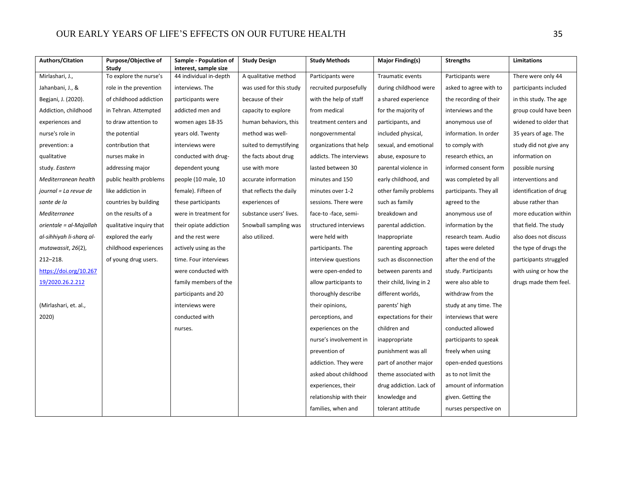| <b>Authors/Citation</b>  | Purpose/Objective of<br>Study | Sample - Population of<br>interest, sample size | <b>Study Design</b>     | <b>Study Methods</b>    | <b>Major Finding(s)</b>  | <b>Strengths</b>       | Limitations            |
|--------------------------|-------------------------------|-------------------------------------------------|-------------------------|-------------------------|--------------------------|------------------------|------------------------|
| Mirlashari, J.,          | To explore the nurse's        | 44 individual in-depth                          | A qualitative method    | Participants were       | Traumatic events         | Participants were      | There were only 44     |
| Jahanbani, J., &         | role in the prevention        | interviews. The                                 | was used for this study | recruited purposefully  | during childhood were    | asked to agree with to | participants included  |
| Begjani, J. (2020).      | of childhood addiction        | participants were                               | because of their        | with the help of staff  | a shared experience      | the recording of their | in this study. The age |
| Addiction, childhood     | in Tehran. Attempted          | addicted men and                                | capacity to explore     | from medical            | for the majority of      | interviews and the     | group could have been  |
| experiences and          | to draw attention to          | women ages 18-35                                | human behaviors, this   | treatment centers and   | participants, and        | anonymous use of       | widened to older that  |
| nurse's role in          | the potential                 | years old. Twenty                               | method was well-        | nongovernmental         | included physical,       | information. In order  | 35 years of age. The   |
| prevention: a            | contribution that             | interviews were                                 | suited to demystifying  | organizations that help | sexual, and emotional    | to comply with         | study did not give any |
| qualitative              | nurses make in                | conducted with drug-                            | the facts about drug    | addicts. The interviews | abuse, exposure to       | research ethics, an    | information on         |
| study. Eastern           | addressing major              | dependent young                                 | use with more           | lasted between 30       | parental violence in     | informed consent form  | possible nursing       |
| Mediterranean health     | public health problems        | people (10 male, 10                             | accurate information    | minutes and 150         | early childhood, and     | was completed by all   | interventions and      |
| journal = La revue de    | like addiction in             | female). Fifteen of                             | that reflects the daily | minutes over 1-2        | other family problems    | participants. They all | identification of drug |
| sante de la              | countries by building         | these participants                              | experiences of          | sessions. There were    | such as family           | agreed to the          | abuse rather than      |
| Mediterranee             | on the results of a           | were in treatment for                           | substance users' lives. | face-to -face, semi-    | breakdown and            | anonymous use of       | more education within  |
| orientale = al-Majallah  | qualitative inquiry that      | their opiate addiction                          | Snowball sampling was   | structured interviews   | parental addiction.      | information by the     | that field. The study  |
| al-sihhiyah li-sharq al- | explored the early            | and the rest were                               | also utilized.          | were held with          | Inappropriate            | research team. Audio   | also does not discuss  |
| mutawassit, 26(2),       | childhood experiences         | actively using as the                           |                         | participants. The       | parenting approach       | tapes were deleted     | the type of drugs the  |
| $212 - 218.$             | of young drug users.          | time. Four interviews                           |                         | interview questions     | such as disconnection    | after the end of the   | participants struggled |
| https://doi.org/10.267   |                               | were conducted with                             |                         | were open-ended to      | between parents and      | study. Participants    | with using or how the  |
| 19/2020.26.2.212         |                               | family members of the                           |                         | allow participants to   | their child, living in 2 | were also able to      | drugs made them feel.  |
|                          |                               | participants and 20                             |                         | thoroughly describe     | different worlds,        | withdraw from the      |                        |
| (Mirlashari, et. al.,    |                               | interviews were                                 |                         | their opinions,         | parents' high            | study at any time. The |                        |
| 2020)                    |                               | conducted with                                  |                         | perceptions, and        | expectations for their   | interviews that were   |                        |
|                          |                               | nurses.                                         |                         | experiences on the      | children and             | conducted allowed      |                        |
|                          |                               |                                                 |                         | nurse's involvement in  | inappropriate            | participants to speak  |                        |
|                          |                               |                                                 |                         | prevention of           | punishment was all       | freely when using      |                        |
|                          |                               |                                                 |                         | addiction. They were    | part of another major    | open-ended questions   |                        |
|                          |                               |                                                 |                         | asked about childhood   | theme associated with    | as to not limit the    |                        |
|                          |                               |                                                 |                         | experiences, their      | drug addiction. Lack of  | amount of information  |                        |
|                          |                               |                                                 |                         | relationship with their | knowledge and            | given. Getting the     |                        |
|                          |                               |                                                 |                         | families, when and      | tolerant attitude        | nurses perspective on  |                        |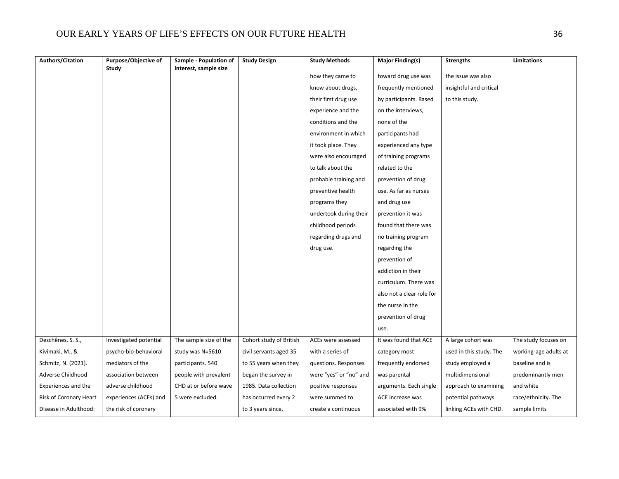| <b>Authors/Citation</b> | Purpose/Objective of   | Sample - Population of | <b>Study Design</b>     | <b>Study Methods</b>   | Major Finding(s)          | <b>Strengths</b>        | <b>Limitations</b>    |
|-------------------------|------------------------|------------------------|-------------------------|------------------------|---------------------------|-------------------------|-----------------------|
|                         | <b>Study</b>           | interest, sample size  |                         | how they came to       | toward drug use was       | the issue was also      |                       |
|                         |                        |                        |                         | know about drugs,      | frequently mentioned      | insightful and critical |                       |
|                         |                        |                        |                         | their first drug use   | by participants. Based    | to this study.          |                       |
|                         |                        |                        |                         | experience and the     | on the interviews,        |                         |                       |
|                         |                        |                        |                         | conditions and the     | none of the               |                         |                       |
|                         |                        |                        |                         | environment in which   | participants had          |                         |                       |
|                         |                        |                        |                         | it took place. They    | experienced any type      |                         |                       |
|                         |                        |                        |                         | were also encouraged   | of training programs      |                         |                       |
|                         |                        |                        |                         | to talk about the      | related to the            |                         |                       |
|                         |                        |                        |                         | probable training and  | prevention of drug        |                         |                       |
|                         |                        |                        |                         | preventive health      | use. As far as nurses     |                         |                       |
|                         |                        |                        |                         | programs they          | and drug use              |                         |                       |
|                         |                        |                        |                         | undertook during their | prevention it was         |                         |                       |
|                         |                        |                        |                         | childhood periods      | found that there was      |                         |                       |
|                         |                        |                        |                         | regarding drugs and    | no training program       |                         |                       |
|                         |                        |                        |                         | drug use.              | regarding the             |                         |                       |
|                         |                        |                        |                         |                        | prevention of             |                         |                       |
|                         |                        |                        |                         |                        | addiction in their        |                         |                       |
|                         |                        |                        |                         |                        | curriculum. There was     |                         |                       |
|                         |                        |                        |                         |                        | also not a clear role for |                         |                       |
|                         |                        |                        |                         |                        | the nurse in the          |                         |                       |
|                         |                        |                        |                         |                        | prevention of drug        |                         |                       |
|                         |                        |                        |                         |                        | use.                      |                         |                       |
| Deschênes, S. S.,       | Investigated potential | The sample size of the | Cohort study of British | ACEs were assessed     | It was found that ACE     | A large cohort was      | The study focuses on  |
| Kivimaki, M., &         | psycho-bio-behavioral  | study was N=5610       | civil servants aged 35  | with a series of       | category most             | used in this study. The | working-age adults at |
| Schmitz, N. (2021).     | mediators of the       | participants. 540      | to 55 years when they   | questions. Responses   | frequently endorsed       | study employed a        | baseline and is       |
| Adverse Childhood       | association between    | people with prevalent  | began the survey in     | were "yes" or "no" and | was parental              | multidimensional        | predominantly men     |
| Experiences and the     | adverse childhood      | CHD at or before wave  | 1985. Data collection   | positive responses     | arguments. Each single    | approach to examining   | and white             |
| Risk of Coronary Heart  | experiences (ACEs) and | 5 were excluded.       | has occurred every 2    | were summed to         | ACE increase was          | potential pathways      | race/ethnicity. The   |
| Disease in Adulthood:   | the risk of coronary   |                        | to 3 years since,       | create a continuous    | associated with 9%        | linking ACEs with CHD.  | sample limits         |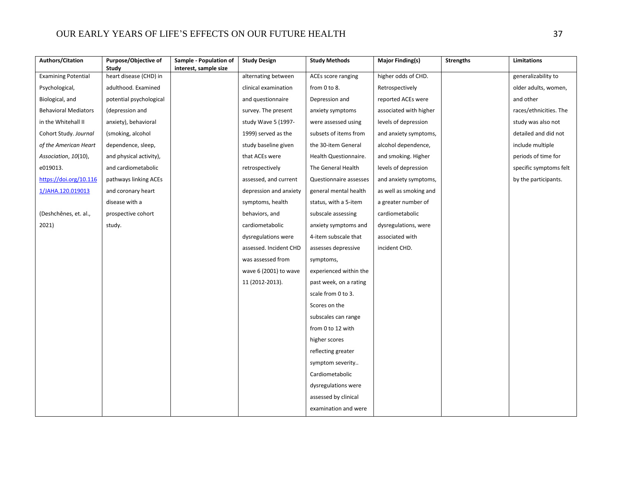| <b>Authors/Citation</b>     | Purpose/Objective of<br>Study | Sample - Population of<br>interest, sample size | <b>Study Design</b>    | <b>Study Methods</b>   | <b>Major Finding(s)</b> | <b>Strengths</b> | Limitations            |
|-----------------------------|-------------------------------|-------------------------------------------------|------------------------|------------------------|-------------------------|------------------|------------------------|
| <b>Examining Potential</b>  | heart disease (CHD) in        |                                                 | alternating between    | ACEs score ranging     | higher odds of CHD.     |                  | generalizability to    |
| Psychological,              | adulthood. Examined           |                                                 | clinical examination   | from 0 to 8.           | Retrospectively         |                  | older adults, women,   |
| Biological, and             | potential psychological       |                                                 | and questionnaire      | Depression and         | reported ACEs were      |                  | and other              |
| <b>Behavioral Mediators</b> | (depression and               |                                                 | survey. The present    | anxiety symptoms       | associated with higher  |                  | races/ethnicities. The |
| in the Whitehall II         | anxiety), behavioral          |                                                 | study Wave 5 (1997-    | were assessed using    | levels of depression    |                  | study was also not     |
| Cohort Study. Journal       | (smoking, alcohol             |                                                 | 1999) served as the    | subsets of items from  | and anxiety symptoms,   |                  | detailed and did not   |
| of the American Heart       | dependence, sleep,            |                                                 | study baseline given   | the 30-item General    | alcohol dependence,     |                  | include multiple       |
| Association, 10(10),        | and physical activity),       |                                                 | that ACEs were         | Health Questionnaire.  | and smoking. Higher     |                  | periods of time for    |
| e019013.                    | and cardiometabolic           |                                                 | retrospectively        | The General Health     | levels of depression    |                  | specific symptoms felt |
| https://doi.org/10.116      | pathways linking ACEs         |                                                 | assessed, and current  | Questionnaire assesses | and anxiety symptoms,   |                  | by the participants.   |
| 1/JAHA.120.019013           | and coronary heart            |                                                 | depression and anxiety | general mental health  | as well as smoking and  |                  |                        |
|                             | disease with a                |                                                 | symptoms, health       | status, with a 5-item  | a greater number of     |                  |                        |
| (Deshchênes, et. al.,       | prospective cohort            |                                                 | behaviors, and         | subscale assessing     | cardiometabolic         |                  |                        |
| 2021)                       | study.                        |                                                 | cardiometabolic        | anxiety symptoms and   | dysregulations, were    |                  |                        |
|                             |                               |                                                 | dysregulations were    | 4-item subscale that   | associated with         |                  |                        |
|                             |                               |                                                 | assessed. Incident CHD | assesses depressive    | incident CHD.           |                  |                        |
|                             |                               |                                                 | was assessed from      | symptoms,              |                         |                  |                        |
|                             |                               |                                                 | wave 6 (2001) to wave  | experienced within the |                         |                  |                        |
|                             |                               |                                                 | 11 (2012-2013).        | past week, on a rating |                         |                  |                        |
|                             |                               |                                                 |                        | scale from 0 to 3.     |                         |                  |                        |
|                             |                               |                                                 |                        | Scores on the          |                         |                  |                        |
|                             |                               |                                                 |                        | subscales can range    |                         |                  |                        |
|                             |                               |                                                 |                        | from 0 to 12 with      |                         |                  |                        |
|                             |                               |                                                 |                        | higher scores          |                         |                  |                        |
|                             |                               |                                                 |                        | reflecting greater     |                         |                  |                        |
|                             |                               |                                                 |                        | symptom severity       |                         |                  |                        |
|                             |                               |                                                 |                        | Cardiometabolic        |                         |                  |                        |
|                             |                               |                                                 |                        | dysregulations were    |                         |                  |                        |
|                             |                               |                                                 |                        | assessed by clinical   |                         |                  |                        |
|                             |                               |                                                 |                        | examination and were   |                         |                  |                        |